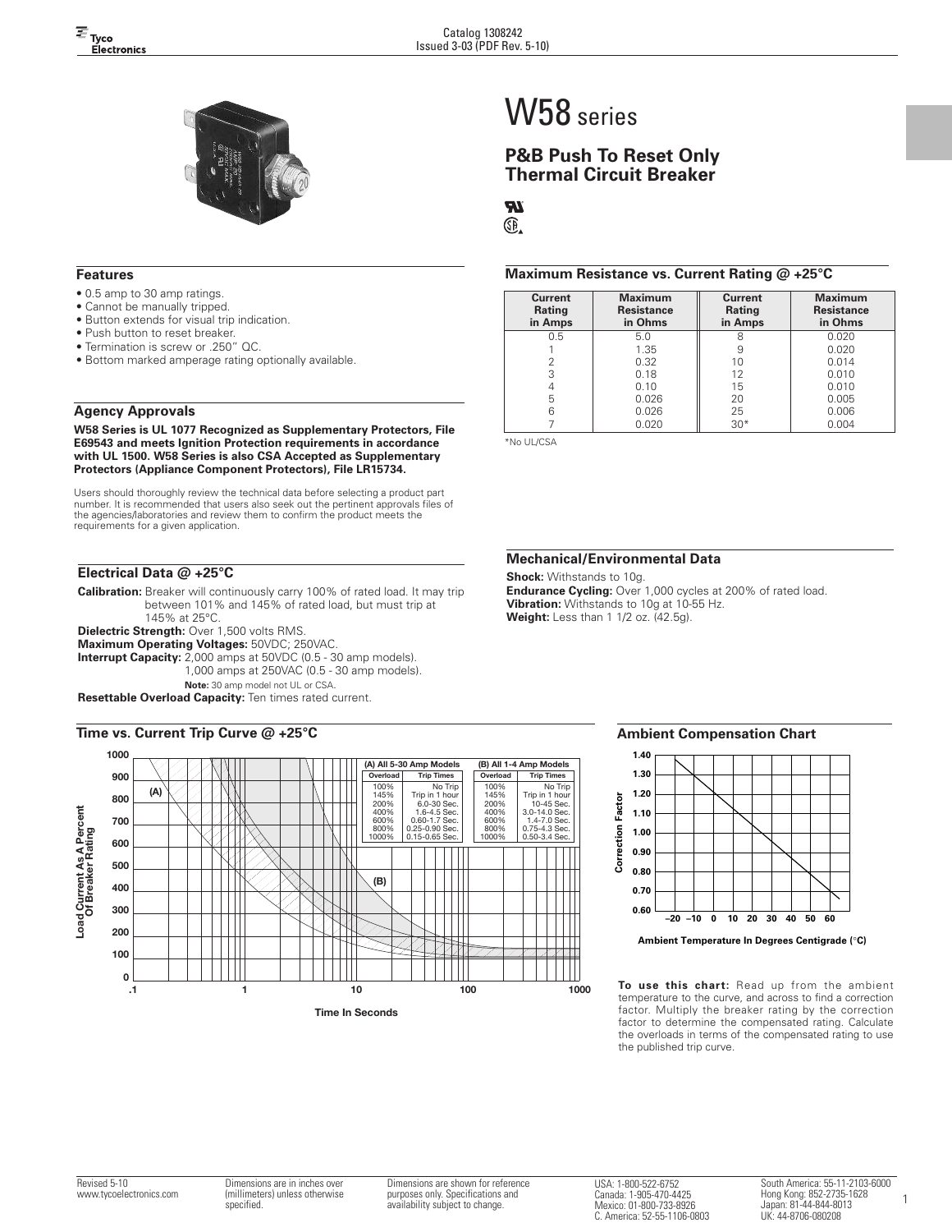

#### **Features**

- 0.5 amp to 30 amp ratings.
- Cannot be manually tripped.
- Button extends for visual trip indication.
- Push button to reset breaker.
- Termination is screw or .250" QC.
- Bottom marked amperage rating optionally available.

## **Agency Approvals**

**W58 Series is UL 1077 Recognized as Supplementary Protectors, File E69543 and meets Ignition Protection requirements in accordance with UL 1500. W58 Series is also CSA Accepted as Supplementary Protectors (Appliance Component Protectors), File LR15734.**

Users should thoroughly review the technical data before selecting a product part number. It is recommended that users also seek out the pertinent approvals files of the agencies/laboratories and review them to confirm the product meets the requirements for a given application.

## **Electrical Data @ +25°C**

**Calibration:** Breaker will continuously carry 100% of rated load. It may trip between 101% and 145% of rated load, but must trip at 145% at 25°C.

**Dielectric Strength:** Over 1,500 volts RMS. **Maximum Operating Voltages:** 50VDC; 250VAC.

**Interrupt Capacity:** 2,000 amps at 50VDC (0.5 - 30 amp models). 1,000 amps at 250VAC (0.5 - 30 amp models). **Note:** 30 amp model not UL or CSA.

**Resettable Overload Capacity:** Ten times rated current.

#### **Time vs. Current Trip Curve @ +25°C**



# W58 series

## **P&B Push To Reset Only Thermal Circuit Breaker**

## **TR**

Œ.

#### **Maximum Resistance vs. Current Rating @ +25°C**

| Current<br>Rating<br>in Amps | <b>Maximum</b><br><b>Resistance</b><br>in Ohms | Current<br>Rating<br>in Amps | <b>Maximum</b><br><b>Resistance</b><br>in Ohms |
|------------------------------|------------------------------------------------|------------------------------|------------------------------------------------|
| 0.5                          | 5.0                                            | 8                            | 0.020                                          |
|                              | 1.35                                           |                              | 0.020                                          |
| 2                            | 0.32                                           | 10                           | 0.014                                          |
| 3                            | 0.18                                           | 12                           | 0.010                                          |
| 4                            | 0.10                                           | 15                           | 0.010                                          |
| 5                            | 0.026                                          | 20                           | 0.005                                          |
| 6                            | 0.026                                          | 25                           | 0.006                                          |
|                              | 0.020                                          | $30*$                        | 0.004                                          |

\*No UL/CSA

#### **Mechanical/Environmental Data**

**Shock:** Withstands to 10g. **Endurance Cycling:** Over 1,000 cycles at 200% of rated load. **Vibration:** Withstands to 10g at 10-55 Hz. **Weight:** Less than 1 1/2 oz. (42.5g).

#### **Ambient Compensation Chart**



**To use this chart:** Read up from the ambient temperature to the curve, and across to find a correction factor. Multiply the breaker rating by the correction factor to determine the compensated rating. Calculate the overloads in terms of the compensated rating to use the published trip curve.

Dimensions are shown for reference purposes only. Specifications and availability subject to change.

USA: 1-800-522-6752 Canada: 1-905-470-4425 Mexico: 01-800-733-8926 C. America: 52-55-1106-0803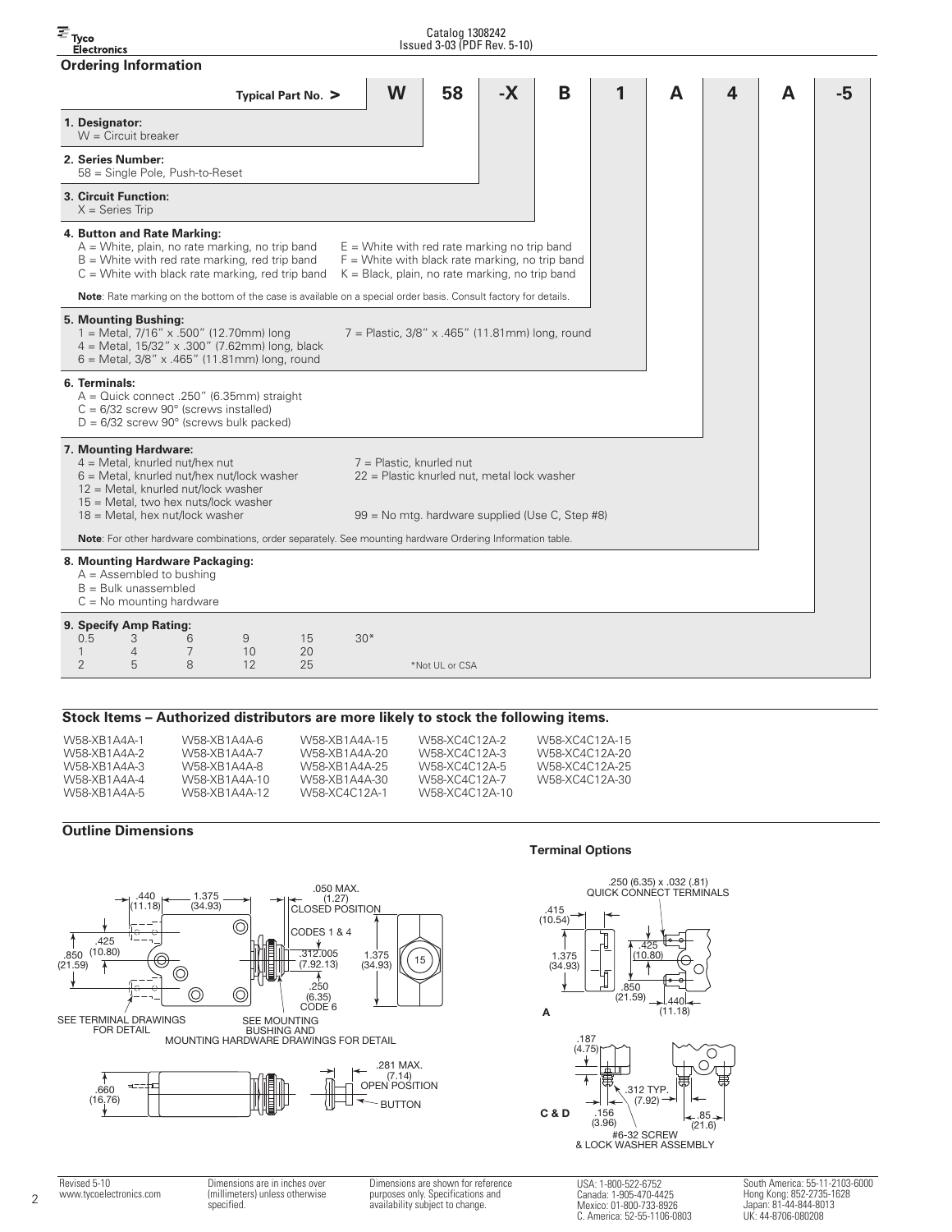#### $\overline{\equiv}$  Tyco Catalog 1308242 Issued 3-03 (PDF Rev. 5-10) Electronics **Ordering Information Typical Part No. > W 58 -X B1A4A -5 1. Designator:**  $W =$  Circuit breaker **2. Series Number:** 58 = Single Pole, Push-to-Reset **3. Circuit Function:**  $X =$  Series Trip **4. Button and Rate Marking:**  $A =$  White, plain, no rate marking, no trip band  $E =$  White with red rate marking no trip band  $B =$  White with red rate marking, red trip band  $F =$  White with black rate marking, no trip band  $C =$  White with black rate marking, red trip band  $K =$  Black, plain, no rate marking, no trip band **Note**: Rate marking on the bottom of the case is available on a special order basis. Consult factory for details. **5. Mounting Bushing:**<br>1 = Metal, 7/16" x .500" (12.70mm) long  $7 =$  Plastic, 3/8" x .465" (11.81mm) long, round 4 = Metal, 15/32" x .300" (7.62mm) long, black 6 = Metal, 3/8" x .465" (11.81mm) long, round **6. Terminals:** A = Quick connect .250" (6.35mm) straight  $C = 6/32$  screw  $90^\circ$  (screws installed)  $D = 6/32$  screw  $90^\circ$  (screws bulk packed) **7. Mounting Hardware:**  $4 =$  Metal, knurled nut/hex nut<br>  $6 =$  Metal, knurled nut/hex nut/lock washer  $22 =$  Plastic knurled nut  $22$  = Plastic knurled nut, metal lock washer 12 = Metal, knurled nut/lock washer  $15$  = Metal, two hex nuts/lock washer<br> $18$  = Metal, hex nut/lock washer 99 = No mtg. hardware supplied (Use C, Step #8) **Note**: For other hardware combinations, order separately. See mounting hardware Ordering Information table. **8. Mounting Hardware Packaging:**  $A =$  Assembled to bushing B = Bulk unassembled  $C = No$  mounting hardware **9. Specify Amp Rating:** 0.5 3 6 9 15 30\* 14 7 10 20 2 5 8 12 25 \*Not UL or CSA

## **Stock Items – Authorized distributors are more likely to stock the following items.**

| W58-XB1A4A-1<br>W58-XB1A4A-6<br>W58-XR1A4A-2<br>W58-XR1A4A-7<br>W58-XR1A4A-3<br>W58-XR1A4A-8<br>W58-XR1A4A-4<br>W58-XB1A4A-10<br>W58-XR1A4A-5<br>W58-XB1A4A-12 | W58-XB1A4A-15<br>W58-XB1A4A-20<br>W58-XB1A4A-25<br>W58-XR1A4A-30<br>W58-XC4C12A-1 | W58-XC4C12A-2<br>W58-XC4C12A-3<br>W58-XC4C12A-5<br>W58-XC4C12A-7<br>W58-XC4C12A-10 | W58-XC4C12A-15<br>W58-XC4C12A-20<br>W58-XC4C12A-25<br>W58-XC4C12A-30 |
|----------------------------------------------------------------------------------------------------------------------------------------------------------------|-----------------------------------------------------------------------------------|------------------------------------------------------------------------------------|----------------------------------------------------------------------|
|----------------------------------------------------------------------------------------------------------------------------------------------------------------|-----------------------------------------------------------------------------------|------------------------------------------------------------------------------------|----------------------------------------------------------------------|

## **Outline Dimensions**



#### **Terminal Options**



 $\mathfrak{D}$ 

Dimensions are in inches over (millimeters) unless otherwise specified. Dimensions are shown for reference purposes only. Specifications and availability subject to change.

USA: 1-800-522-6752 Canada: 1-905-470-4425 Mexico: 01-800-733-8926 C. America: 52-55-1106-0803